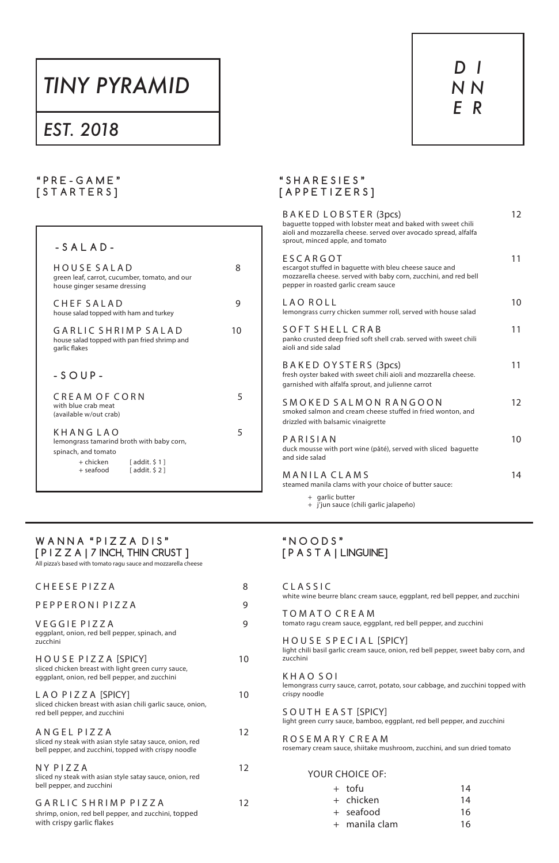# *TINY PYRAMID*

## *EST. 2018*

## *D I N N E R*

## **" P R E - G A M E " [ S T A R T E R S ]**

## **" S H A R E S I E S " [ A P P E T I Z E R S ]**

### **W A N N A " P I Z Z A D I S " [ P I Z Z A | 7 INCH, THIN CRUST ]**

All pizza's based with tomato ragu sauce and mozzarella cheese

## **" N O O D S " [ P A S T A | LINGUINE]**

C L A S S I C white wine beurre blanc cream sauce, eggplant, red bell pepper, and zucchini

#### T O M A T O C R E A M tomato ragu cream sauce, eggplant, red bell pepper, and zucchini

H O U S E S P E C I A L [SPICY]

light chili basil garlic cream sauce, onion, red bell pepper, sweet baby corn, and zucchini

V E G G I E P I Z Z A 9 eggplant, onion, red bell pepper, spinach, and zucchini

H O U S E P I Z Z A [SPICY] 10 sliced chicken breast with light green curry sauce,

#### K H A O S O I

lemongrass curry sauce, carrot, potato, sour cabbage, and zucchini topped with crispy noodle

### S O U T H E A S T [SPICY]

L A O P I Z Z A [SPICY] 10 sliced chicken breast with asian chili garlic sauce, onion, red bell pepper, and zucchini

#### A N G E L P I Z Z A 12

light green curry sauce, bamboo, eggplant, red bell pepper, and zucchini

## R O S E M A R Y C R E A M

rosemary cream sauce, shiitake mushroom, zucchini, and sun dried tomato

## YOUR CHOICE OF:

- + tofu 14
- + chicken 14
- + seafood 16
- + manila clam 16

#### P E P P E R O N I P I Z Z A 9

eggplant, onion, red bell pepper, and zucchini

sliced ny steak with asian style satay sauce, onion, red bell pepper, and zucchini, topped with crispy noodle

#### $NY$  P I Z Z A  $12$

sliced ny steak with asian style satay sauce, onion, red bell pepper, and zucchini

#### G A R L I C S H R I M P P I Z Z A 12

arlic butter + j'jun sauce (chili garlic jalapeño)

shrimp, onion, red bell pepper, and zucchini, topped with crispy garlic flakes

## **- S A L A D -**

| HOUSE SALAD<br>green leaf, carrot, cucumber, tomato, and our<br>house ginger sesame dressing                                            | 8  |
|-----------------------------------------------------------------------------------------------------------------------------------------|----|
| CHEF SALAD<br>house salad topped with ham and turkey                                                                                    | g  |
| GARLIC SHRIMP SALAD<br>house salad topped with pan fried shrimp and<br>garlic flakes                                                    | 10 |
| $-SOUP-$                                                                                                                                |    |
| CREAM OF CORN<br>with blue crab meat<br>(available w/out crab)                                                                          | 5  |
| <b>KHANGLAO</b><br>lemongrass tamarind broth with baby corn,<br>spinach, and tomato<br>+ chicken [addit. \$1]<br>+ seafood [addit. \$2] | 5  |

| BAKED LOBSTER (3pcs)<br>baguette topped with lobster meat and baked with sweet chili<br>aioli and mozzarella cheese. served over avocado spread, alfalfa<br>sprout, minced apple, and tomato | 12 |
|----------------------------------------------------------------------------------------------------------------------------------------------------------------------------------------------|----|
| ESCARGOT<br>escargot stuffed in baguette with bleu cheese sauce and<br>mozzarella cheese. served with baby corn, zucchini, and red bell<br>pepper in roasted garlic cream sauce              | 11 |
| LAO ROLL<br>lemongrass curry chicken summer roll, served with house salad                                                                                                                    | 10 |
| SOFT SHELL CRAB<br>panko crusted deep fried soft shell crab. served with sweet chili<br>aioli and side salad                                                                                 | 11 |
| BAKED OYSTERS (3pcs)<br>fresh oyster baked with sweet chili aioli and mozzarella cheese.<br>garnished with alfalfa sprout, and julienne carrot                                               | 11 |
| SMOKED SALMON RANGOON<br>smoked salmon and cream cheese stuffed in fried wonton, and<br>drizzled with balsamic vinaigrette                                                                   | 12 |
| PARISIAN<br>duck mousse with port wine (pâté), served with sliced baguette<br>and side salad                                                                                                 | 10 |
| MANILA CLAMS<br>steamed manila clams with your choice of butter sauce:<br>andic buttor                                                                                                       | 14 |